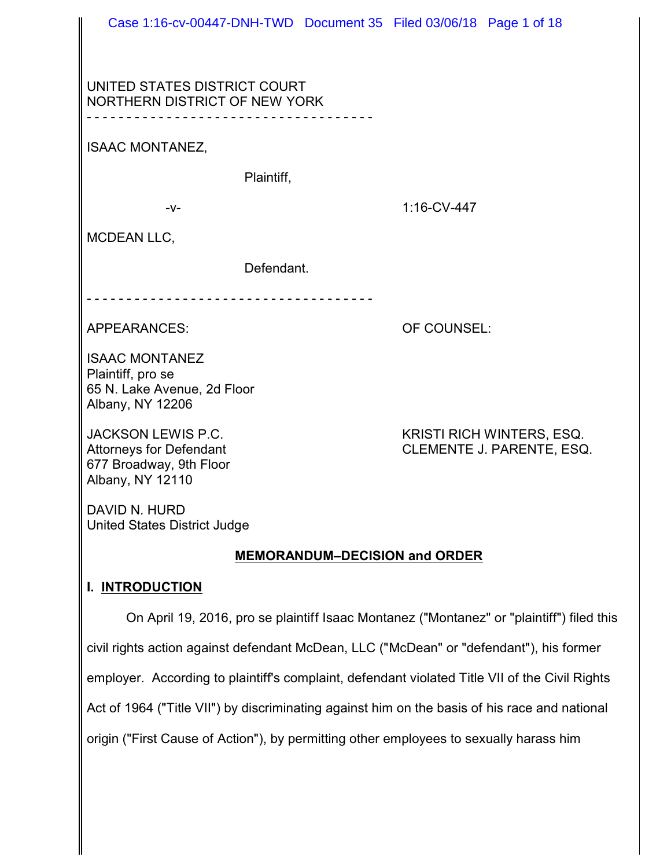|                                                                                                | Case 1:16-cv-00447-DNH-TWD  Document 35  Filed 03/06/18  Page 1 of 18 |
|------------------------------------------------------------------------------------------------|-----------------------------------------------------------------------|
|                                                                                                |                                                                       |
|                                                                                                |                                                                       |
| UNITED STATES DISTRICT COURT<br>NORTHERN DISTRICT OF NEW YORK                                  |                                                                       |
|                                                                                                |                                                                       |
| <b>ISAAC MONTANEZ,</b>                                                                         |                                                                       |
| Plaintiff,                                                                                     |                                                                       |
| $-V -$                                                                                         | 1:16-CV-447                                                           |
| <b>MCDEAN LLC,</b>                                                                             |                                                                       |
|                                                                                                |                                                                       |
| Defendant.                                                                                     |                                                                       |
|                                                                                                |                                                                       |
| <b>APPEARANCES:</b>                                                                            | OF COUNSEL:                                                           |
| <b>ISAAC MONTANEZ</b>                                                                          |                                                                       |
| Plaintiff, pro se                                                                              |                                                                       |
| 65 N. Lake Avenue, 2d Floor<br>Albany, NY 12206                                                |                                                                       |
| <b>JACKSON LEWIS P.C.</b>                                                                      | <b>KRISTI RICH WINTERS, ESQ.</b>                                      |
| <b>Attorneys for Defendant</b>                                                                 | CLEMENTE J. PARENTE, ESQ.                                             |
| 677 Broadway, 9th Floor<br>Albany, NY 12110                                                    |                                                                       |
|                                                                                                |                                                                       |
| DAVID N. HURD<br><b>United States District Judge</b>                                           |                                                                       |
| <b>MEMORANDUM-DECISION and ORDER</b>                                                           |                                                                       |
| <b>INTRODUCTION</b><br>L.                                                                      |                                                                       |
|                                                                                                |                                                                       |
| On April 19, 2016, pro se plaintiff Isaac Montanez ("Montanez" or "plaintiff") filed this      |                                                                       |
| civil rights action against defendant McDean, LLC ("McDean" or "defendant"), his former        |                                                                       |
| employer. According to plaintiff's complaint, defendant violated Title VII of the Civil Rights |                                                                       |
| Act of 1964 ("Title VII") by discriminating against him on the basis of his race and national  |                                                                       |

origin ("First Cause of Action"), by permitting other employees to sexually harass him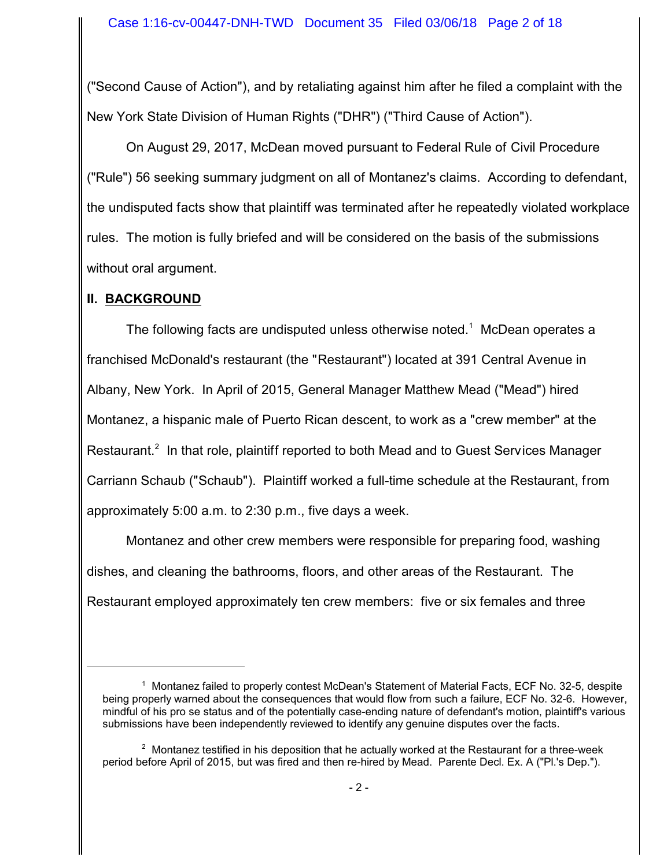("Second Cause of Action"), and by retaliating against him after he filed a complaint with the New York State Division of Human Rights ("DHR") ("Third Cause of Action").

On August 29, 2017, McDean moved pursuant to Federal Rule of Civil Procedure ("Rule") 56 seeking summary judgment on all of Montanez's claims. According to defendant, the undisputed facts show that plaintiff was terminated after he repeatedly violated workplace rules. The motion is fully briefed and will be considered on the basis of the submissions without oral argument.

### **II. BACKGROUND**

The following facts are undisputed unless otherwise noted. $1$  McDean operates a franchised McDonald's restaurant (the "Restaurant") located at 391 Central Avenue in Albany, New York. In April of 2015, General Manager Matthew Mead ("Mead") hired Montanez, a hispanic male of Puerto Rican descent, to work as a "crew member" at the Restaurant.<sup>2</sup> In that role, plaintiff reported to both Mead and to Guest Services Manager Carriann Schaub ("Schaub"). Plaintiff worked a full-time schedule at the Restaurant, from approximately 5:00 a.m. to 2:30 p.m., five days a week.

Montanez and other crew members were responsible for preparing food, washing dishes, and cleaning the bathrooms, floors, and other areas of the Restaurant. The Restaurant employed approximately ten crew members: five or six females and three

<sup>&</sup>lt;sup>1</sup> Montanez failed to properly contest McDean's Statement of Material Facts, ECF No. 32-5, despite being properly warned about the consequences that would flow from such a failure, ECF No. 32-6. However, mindful of his pro se status and of the potentially case-ending nature of defendant's motion, plaintiff's various submissions have been independently reviewed to identify any genuine disputes over the facts.

 $2$  Montanez testified in his deposition that he actually worked at the Restaurant for a three-week period before April of 2015, but was fired and then re-hired by Mead. Parente Decl. Ex. A ("Pl.'s Dep.").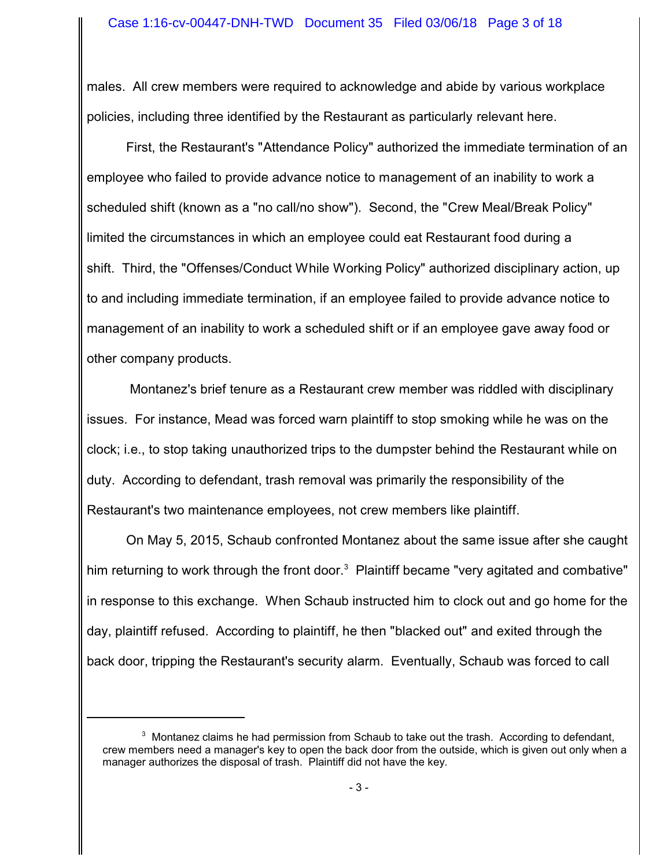males. All crew members were required to acknowledge and abide by various workplace policies, including three identified by the Restaurant as particularly relevant here.

First, the Restaurant's "Attendance Policy" authorized the immediate termination of an employee who failed to provide advance notice to management of an inability to work a scheduled shift (known as a "no call/no show"). Second, the "Crew Meal/Break Policy" limited the circumstances in which an employee could eat Restaurant food during a shift. Third, the "Offenses/Conduct While Working Policy" authorized disciplinary action, up to and including immediate termination, if an employee failed to provide advance notice to management of an inability to work a scheduled shift or if an employee gave away food or other company products.

 Montanez's brief tenure as a Restaurant crew member was riddled with disciplinary issues. For instance, Mead was forced warn plaintiff to stop smoking while he was on the clock; i.e., to stop taking unauthorized trips to the dumpster behind the Restaurant while on duty. According to defendant, trash removal was primarily the responsibility of the Restaurant's two maintenance employees, not crew members like plaintiff.

On May 5, 2015, Schaub confronted Montanez about the same issue after she caught him returning to work through the front door.<sup>3</sup> Plaintiff became "very agitated and combative" in response to this exchange. When Schaub instructed him to clock out and go home for the day, plaintiff refused. According to plaintiff, he then "blacked out" and exited through the back door, tripping the Restaurant's security alarm. Eventually, Schaub was forced to call

 $3$  Montanez claims he had permission from Schaub to take out the trash. According to defendant, crew members need a manager's key to open the back door from the outside, which is given out only when a manager authorizes the disposal of trash. Plaintiff did not have the key.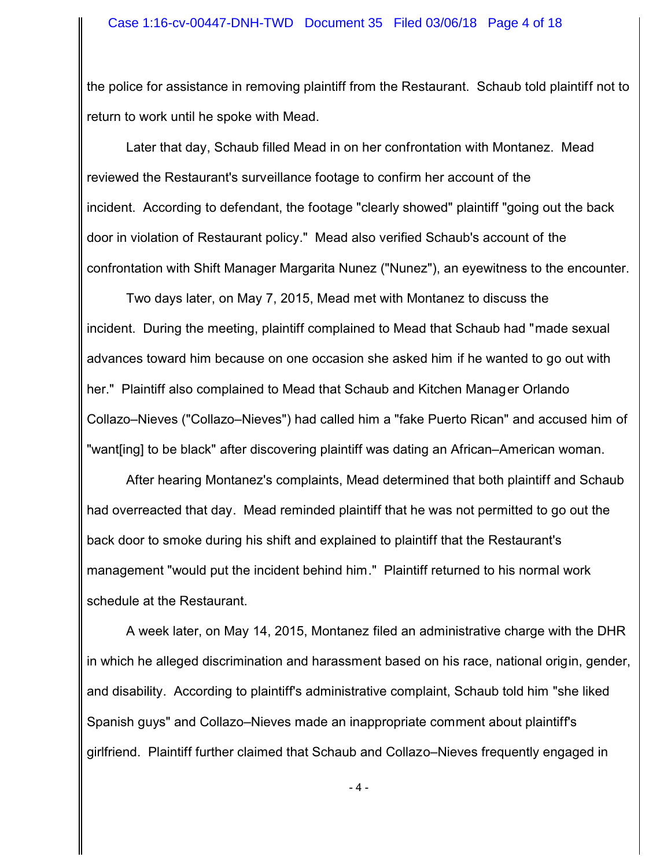the police for assistance in removing plaintiff from the Restaurant. Schaub told plaintiff not to return to work until he spoke with Mead.

Later that day, Schaub filled Mead in on her confrontation with Montanez. Mead reviewed the Restaurant's surveillance footage to confirm her account of the incident. According to defendant, the footage "clearly showed" plaintiff "going out the back door in violation of Restaurant policy." Mead also verified Schaub's account of the confrontation with Shift Manager Margarita Nunez ("Nunez"), an eyewitness to the encounter.

Two days later, on May 7, 2015, Mead met with Montanez to discuss the incident. During the meeting, plaintiff complained to Mead that Schaub had "made sexual advances toward him because on one occasion she asked him if he wanted to go out with her." Plaintiff also complained to Mead that Schaub and Kitchen Manager Orlando Collazo–Nieves ("Collazo–Nieves") had called him a "fake Puerto Rican" and accused him of "want[ing] to be black" after discovering plaintiff was dating an African–American woman.

After hearing Montanez's complaints, Mead determined that both plaintiff and Schaub had overreacted that day. Mead reminded plaintiff that he was not permitted to go out the back door to smoke during his shift and explained to plaintiff that the Restaurant's management "would put the incident behind him." Plaintiff returned to his normal work schedule at the Restaurant.

A week later, on May 14, 2015, Montanez filed an administrative charge with the DHR in which he alleged discrimination and harassment based on his race, national origin, gender, and disability. According to plaintiff's administrative complaint, Schaub told him "she liked Spanish guys" and Collazo–Nieves made an inappropriate comment about plaintiff's girlfriend. Plaintiff further claimed that Schaub and Collazo–Nieves frequently engaged in

- 4 -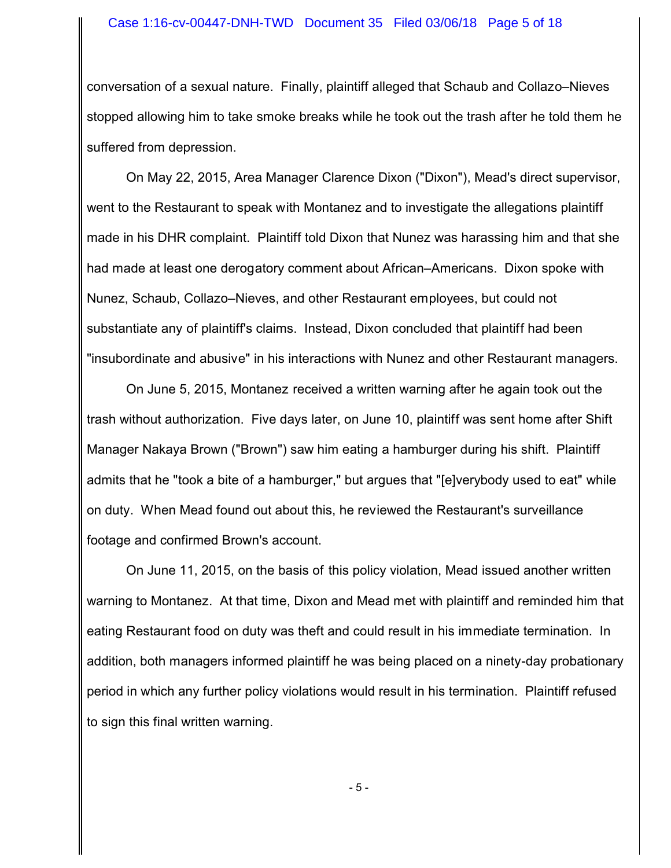conversation of a sexual nature. Finally, plaintiff alleged that Schaub and Collazo–Nieves stopped allowing him to take smoke breaks while he took out the trash after he told them he suffered from depression.

On May 22, 2015, Area Manager Clarence Dixon ("Dixon"), Mead's direct supervisor, went to the Restaurant to speak with Montanez and to investigate the allegations plaintiff made in his DHR complaint. Plaintiff told Dixon that Nunez was harassing him and that she had made at least one derogatory comment about African–Americans. Dixon spoke with Nunez, Schaub, Collazo–Nieves, and other Restaurant employees, but could not substantiate any of plaintiff's claims. Instead, Dixon concluded that plaintiff had been "insubordinate and abusive" in his interactions with Nunez and other Restaurant managers.

On June 5, 2015, Montanez received a written warning after he again took out the trash without authorization. Five days later, on June 10, plaintiff was sent home after Shift Manager Nakaya Brown ("Brown") saw him eating a hamburger during his shift. Plaintiff admits that he "took a bite of a hamburger," but argues that "[e]verybody used to eat" while on duty. When Mead found out about this, he reviewed the Restaurant's surveillance footage and confirmed Brown's account.

On June 11, 2015, on the basis of this policy violation, Mead issued another written warning to Montanez. At that time, Dixon and Mead met with plaintiff and reminded him that eating Restaurant food on duty was theft and could result in his immediate termination. In addition, both managers informed plaintiff he was being placed on a ninety-day probationary period in which any further policy violations would result in his termination. Plaintiff refused to sign this final written warning.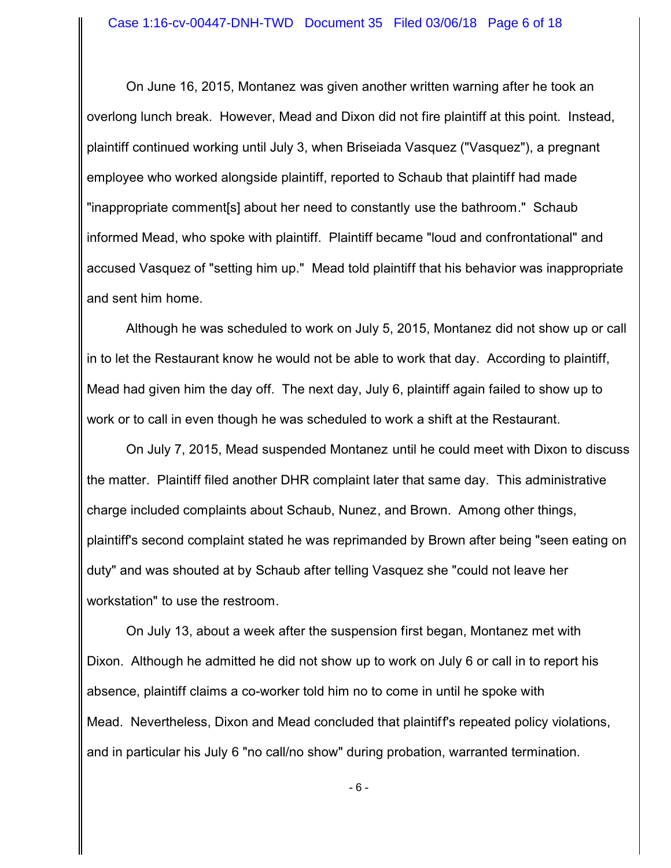On June 16, 2015, Montanez was given another written warning after he took an overlong lunch break. However, Mead and Dixon did not fire plaintiff at this point. Instead, plaintiff continued working until July 3, when Briseiada Vasquez ("Vasquez"), a pregnant employee who worked alongside plaintiff, reported to Schaub that plaintiff had made "inappropriate comment[s] about her need to constantly use the bathroom." Schaub informed Mead, who spoke with plaintiff. Plaintiff became "loud and confrontational" and accused Vasquez of "setting him up." Mead told plaintiff that his behavior was inappropriate and sent him home.

Although he was scheduled to work on July 5, 2015, Montanez did not show up or call in to let the Restaurant know he would not be able to work that day. According to plaintiff, Mead had given him the day off. The next day, July 6, plaintiff again failed to show up to work or to call in even though he was scheduled to work a shift at the Restaurant.

On July 7, 2015, Mead suspended Montanez until he could meet with Dixon to discuss the matter. Plaintiff filed another DHR complaint later that same day. This administrative charge included complaints about Schaub, Nunez, and Brown. Among other things, plaintiff's second complaint stated he was reprimanded by Brown after being "seen eating on duty" and was shouted at by Schaub after telling Vasquez she "could not leave her workstation" to use the restroom.

On July 13, about a week after the suspension first began, Montanez met with Dixon. Although he admitted he did not show up to work on July 6 or call in to report his absence, plaintiff claims a co-worker told him no to come in until he spoke with Mead. Nevertheless, Dixon and Mead concluded that plaintiff's repeated policy violations, and in particular his July 6 "no call/no show" during probation, warranted termination.

- 6 -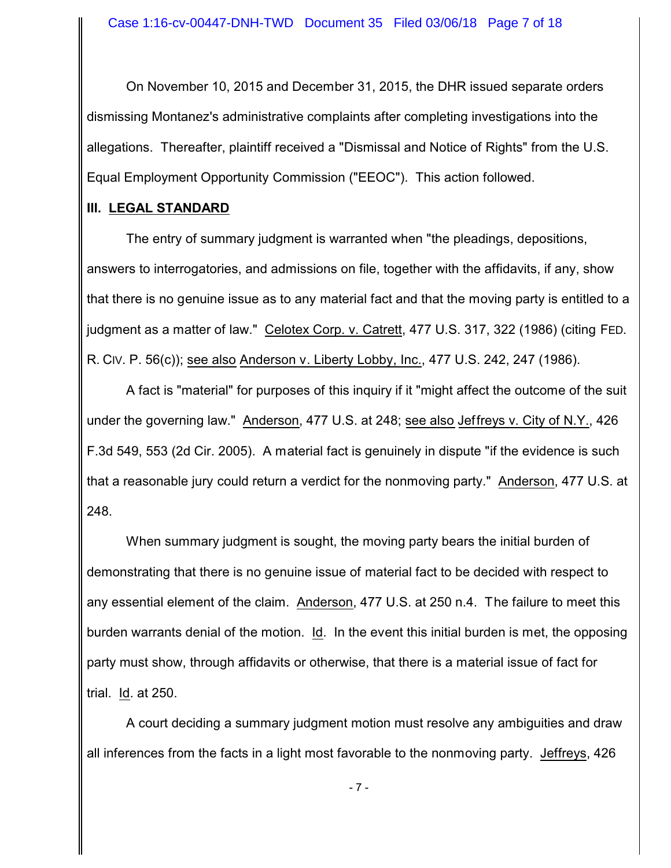On November 10, 2015 and December 31, 2015, the DHR issued separate orders dismissing Montanez's administrative complaints after completing investigations into the allegations. Thereafter, plaintiff received a "Dismissal and Notice of Rights" from the U.S. Equal Employment Opportunity Commission ("EEOC"). This action followed.

### **III. LEGAL STANDARD**

The entry of summary judgment is warranted when "the pleadings, depositions, answers to interrogatories, and admissions on file, together with the affidavits, if any, show that there is no genuine issue as to any material fact and that the moving party is entitled to a judgment as a matter of law." Celotex Corp. v. Catrett, 477 U.S. 317, 322 (1986) (citing FED. R. CIV. P. 56(c)); see also Anderson v. Liberty Lobby, Inc., 477 U.S. 242, 247 (1986).

A fact is "material" for purposes of this inquiry if it "might affect the outcome of the suit under the governing law." Anderson, 477 U.S. at 248; see also Jeffreys v. City of N.Y., 426 F.3d 549, 553 (2d Cir. 2005). A material fact is genuinely in dispute "if the evidence is such that a reasonable jury could return a verdict for the nonmoving party." Anderson, 477 U.S. at 248.

When summary judgment is sought, the moving party bears the initial burden of demonstrating that there is no genuine issue of material fact to be decided with respect to any essential element of the claim. Anderson, 477 U.S. at 250 n.4. The failure to meet this burden warrants denial of the motion. Id. In the event this initial burden is met, the opposing party must show, through affidavits or otherwise, that there is a material issue of fact for trial. Id. at 250.

A court deciding a summary judgment motion must resolve any ambiguities and draw all inferences from the facts in a light most favorable to the nonmoving party. Jeffreys, 426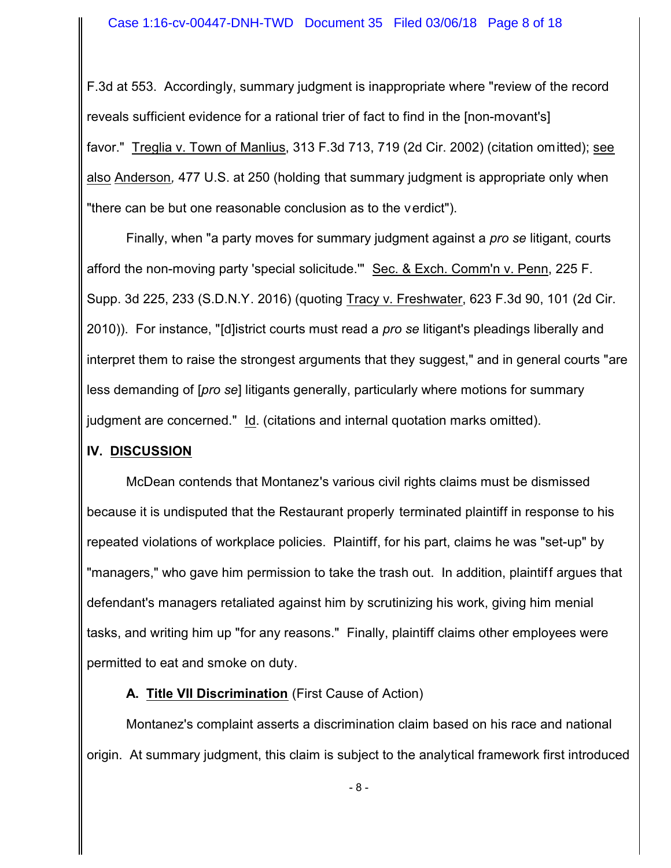F.3d at 553. Accordingly, summary judgment is inappropriate where "review of the record reveals sufficient evidence for a rational trier of fact to find in the [non-movant's] favor." Treglia v. Town of Manlius, 313 F.3d 713, 719 (2d Cir. 2002) (citation omitted); see also Anderson*,* 477 U.S. at 250 (holding that summary judgment is appropriate only when "there can be but one reasonable conclusion as to the verdict").

Finally, when "a party moves for summary judgment against a *pro se* litigant, courts afford the non-moving party 'special solicitude.'" Sec. & Exch. Comm'n v. Penn, 225 F. Supp. 3d 225, 233 (S.D.N.Y. 2016) (quoting Tracy v. Freshwater, 623 F.3d 90, 101 (2d Cir. 2010)). For instance, "[d]istrict courts must read a *pro se* litigant's pleadings liberally and interpret them to raise the strongest arguments that they suggest," and in general courts "are less demanding of [*pro se*] litigants generally, particularly where motions for summary judgment are concerned." Id. (citations and internal quotation marks omitted).

### **IV. DISCUSSION**

McDean contends that Montanez's various civil rights claims must be dismissed because it is undisputed that the Restaurant properly terminated plaintiff in response to his repeated violations of workplace policies. Plaintiff, for his part, claims he was "set-up" by "managers," who gave him permission to take the trash out. In addition, plaintiff argues that defendant's managers retaliated against him by scrutinizing his work, giving him menial tasks, and writing him up "for any reasons." Finally, plaintiff claims other employees were permitted to eat and smoke on duty.

# **A. Title VII Discrimination** (First Cause of Action)

Montanez's complaint asserts a discrimination claim based on his race and national origin. At summary judgment, this claim is subject to the analytical framework first introduced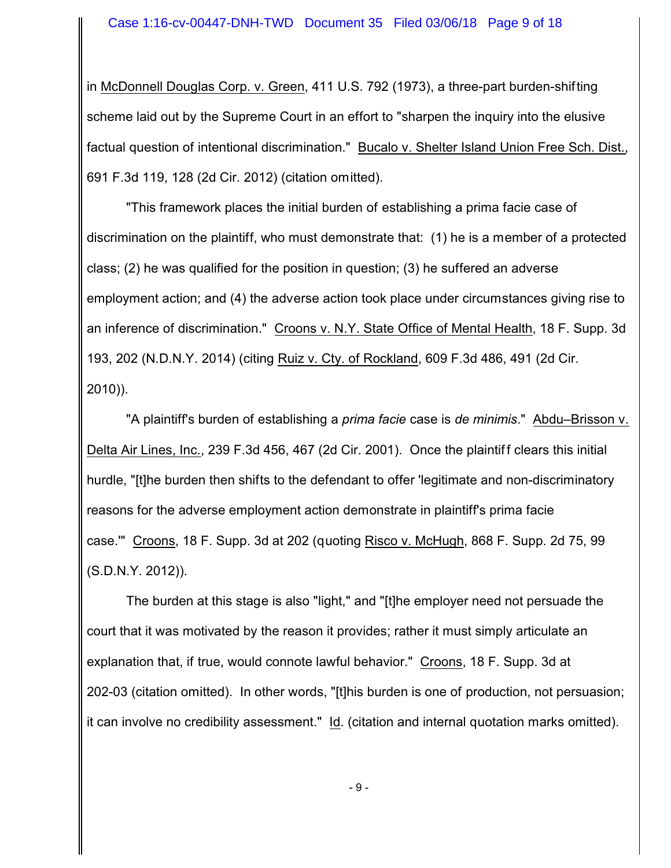in McDonnell Douglas Corp. v. Green, 411 U.S. 792 (1973), a three-part burden-shifting scheme laid out by the Supreme Court in an effort to "sharpen the inquiry into the elusive factual question of intentional discrimination." Bucalo v. Shelter Island Union Free Sch. Dist., 691 F.3d 119, 128 (2d Cir. 2012) (citation omitted).

"This framework places the initial burden of establishing a prima facie case of discrimination on the plaintiff, who must demonstrate that: (1) he is a member of a protected class; (2) he was qualified for the position in question; (3) he suffered an adverse employment action; and (4) the adverse action took place under circumstances giving rise to an inference of discrimination." Croons v. N.Y. State Office of Mental Health, 18 F. Supp. 3d 193, 202 (N.D.N.Y. 2014) (citing Ruiz v. Cty. of Rockland, 609 F.3d 486, 491 (2d Cir. 2010)).

"A plaintiff's burden of establishing a *prima facie* case is *de minimis*." Abdu–Brisson v. Delta Air Lines, Inc., 239 F.3d 456, 467 (2d Cir. 2001). Once the plaintif f clears this initial hurdle, "[t]he burden then shifts to the defendant to offer 'legitimate and non-discriminatory reasons for the adverse employment action demonstrate in plaintiff's prima facie case.'" Croons, 18 F. Supp. 3d at 202 (quoting Risco v. McHugh, 868 F. Supp. 2d 75, 99 (S.D.N.Y. 2012)).

The burden at this stage is also "light," and "[t]he employer need not persuade the court that it was motivated by the reason it provides; rather it must simply articulate an explanation that, if true, would connote lawful behavior." Croons, 18 F. Supp. 3d at 202-03 (citation omitted). In other words, "[t]his burden is one of production, not persuasion; it can involve no credibility assessment." Id. (citation and internal quotation marks omitted).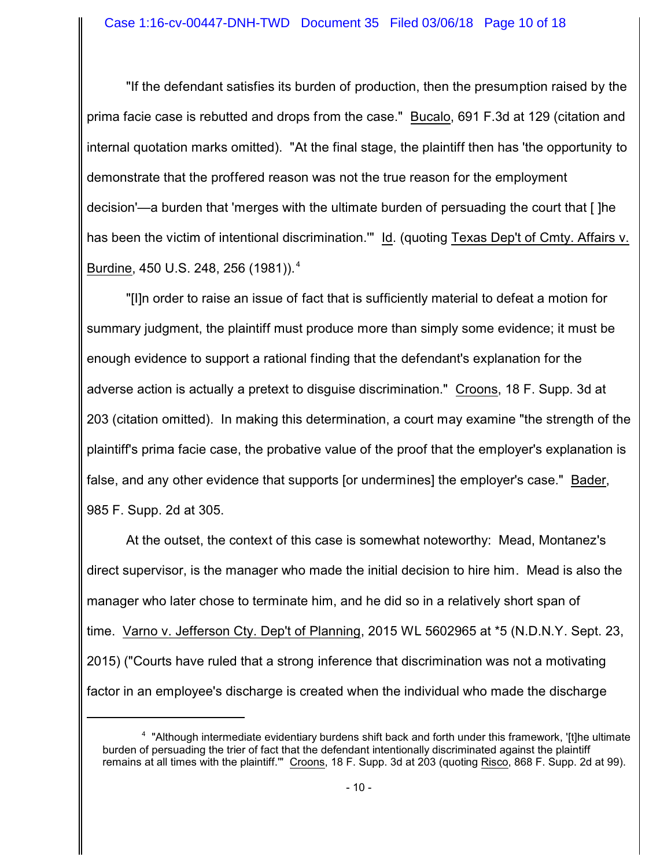"If the defendant satisfies its burden of production, then the presumption raised by the prima facie case is rebutted and drops from the case." Bucalo, 691 F.3d at 129 (citation and internal quotation marks omitted). "At the final stage, the plaintiff then has 'the opportunity to demonstrate that the proffered reason was not the true reason for the employment decision'—a burden that 'merges with the ultimate burden of persuading the court that [ ]he has been the victim of intentional discrimination."" Id. (quoting Texas Dep't of Cmty. Affairs v. Burdine, 450 U.S. 248, 256 (1981)).<sup>4</sup>

"[I]n order to raise an issue of fact that is sufficiently material to defeat a motion for summary judgment, the plaintiff must produce more than simply some evidence; it must be enough evidence to support a rational finding that the defendant's explanation for the adverse action is actually a pretext to disguise discrimination." Croons, 18 F. Supp. 3d at 203 (citation omitted). In making this determination, a court may examine "the strength of the plaintiff's prima facie case, the probative value of the proof that the employer's explanation is false, and any other evidence that supports [or undermines] the employer's case." Bader, 985 F. Supp. 2d at 305.

At the outset, the context of this case is somewhat noteworthy: Mead, Montanez's direct supervisor, is the manager who made the initial decision to hire him. Mead is also the manager who later chose to terminate him, and he did so in a relatively short span of time. Varno v. Jefferson Cty. Dep't of Planning, 2015 WL 5602965 at \*5 (N.D.N.Y. Sept. 23, 2015) ("Courts have ruled that a strong inference that discrimination was not a motivating factor in an employee's discharge is created when the individual who made the discharge

<sup>&</sup>lt;sup>4</sup> "Although intermediate evidentiary burdens shift back and forth under this framework, '[t]he ultimate burden of persuading the trier of fact that the defendant intentionally discriminated against the plaintiff remains at all times with the plaintiff.'" Croons, 18 F. Supp. 3d at 203 (quoting Risco, 868 F. Supp. 2d at 99).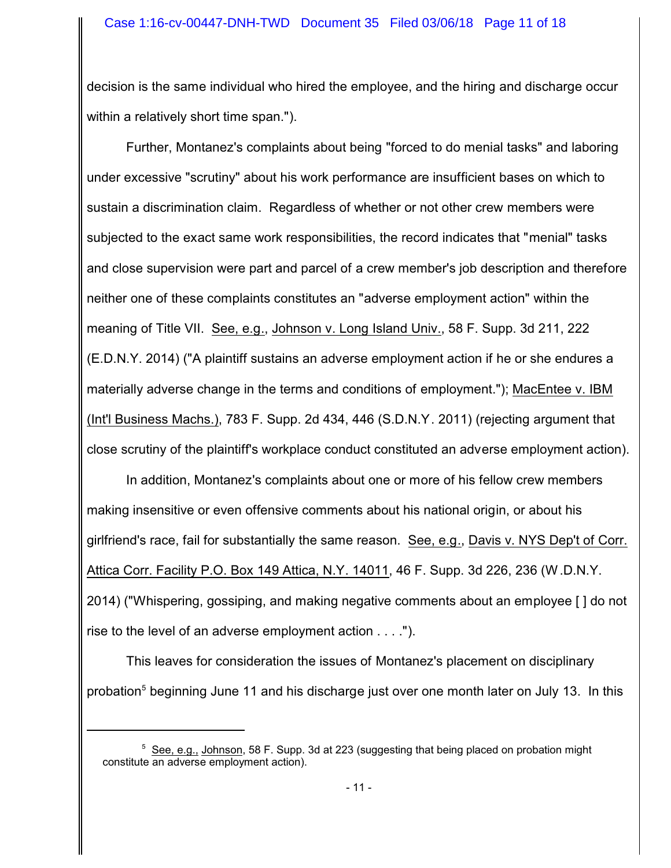decision is the same individual who hired the employee, and the hiring and discharge occur within a relatively short time span.").

Further, Montanez's complaints about being "forced to do menial tasks" and laboring under excessive "scrutiny" about his work performance are insufficient bases on which to sustain a discrimination claim. Regardless of whether or not other crew members were subjected to the exact same work responsibilities, the record indicates that "menial" tasks and close supervision were part and parcel of a crew member's job description and therefore neither one of these complaints constitutes an "adverse employment action" within the meaning of Title VII. See, e.g., Johnson v. Long Island Univ., 58 F. Supp. 3d 211, 222 (E.D.N.Y. 2014) ("A plaintiff sustains an adverse employment action if he or she endures a materially adverse change in the terms and conditions of employment."); MacEntee v. IBM (Int'l Business Machs.), 783 F. Supp. 2d 434, 446 (S.D.N.Y. 2011) (rejecting argument that close scrutiny of the plaintiff's workplace conduct constituted an adverse employment action).

In addition, Montanez's complaints about one or more of his fellow crew members making insensitive or even offensive comments about his national origin, or about his girlfriend's race, fail for substantially the same reason. See, e.g., Davis v. NYS Dep't of Corr. Attica Corr. Facility P.O. Box 149 Attica, N.Y. 14011, 46 F. Supp. 3d 226, 236 (W.D.N.Y. 2014) ("Whispering, gossiping, and making negative comments about an employee [ ] do not rise to the level of an adverse employment action . . . .").

This leaves for consideration the issues of Montanez's placement on disciplinary probation<sup>5</sup> beginning June 11 and his discharge just over one month later on July 13. In this

<sup>&</sup>lt;sup>5</sup> See, e.g., Johnson, 58 F. Supp. 3d at 223 (suggesting that being placed on probation might constitute an adverse employment action).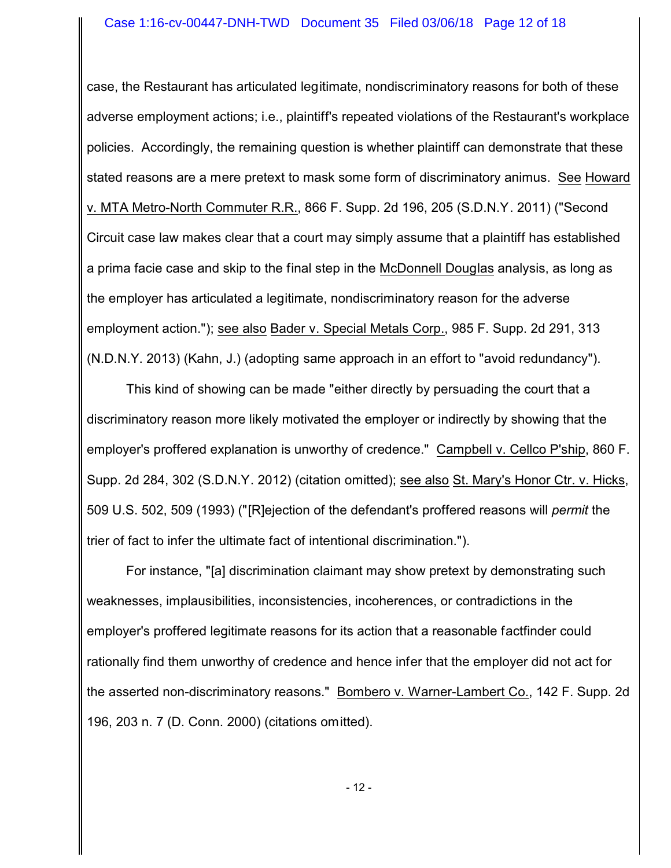#### Case 1:16-cv-00447-DNH-TWD Document 35 Filed 03/06/18 Page 12 of 18

case, the Restaurant has articulated legitimate, nondiscriminatory reasons for both of these adverse employment actions; i.e., plaintiff's repeated violations of the Restaurant's workplace policies. Accordingly, the remaining question is whether plaintiff can demonstrate that these stated reasons are a mere pretext to mask some form of discriminatory animus. See Howard v. MTA Metro-North Commuter R.R., 866 F. Supp. 2d 196, 205 (S.D.N.Y. 2011) ("Second Circuit case law makes clear that a court may simply assume that a plaintiff has established a prima facie case and skip to the final step in the McDonnell Douglas analysis, as long as the employer has articulated a legitimate, nondiscriminatory reason for the adverse employment action."); see also Bader v. Special Metals Corp., 985 F. Supp. 2d 291, 313 (N.D.N.Y. 2013) (Kahn, J.) (adopting same approach in an effort to "avoid redundancy").

This kind of showing can be made "either directly by persuading the court that a discriminatory reason more likely motivated the employer or indirectly by showing that the employer's proffered explanation is unworthy of credence." Campbell v. Cellco P'ship, 860 F. Supp. 2d 284, 302 (S.D.N.Y. 2012) (citation omitted); see also St. Mary's Honor Ctr. v. Hicks, 509 U.S. 502, 509 (1993) ("[R]ejection of the defendant's proffered reasons will *permit* the trier of fact to infer the ultimate fact of intentional discrimination.").

For instance, "[a] discrimination claimant may show pretext by demonstrating such weaknesses, implausibilities, inconsistencies, incoherences, or contradictions in the employer's proffered legitimate reasons for its action that a reasonable factfinder could rationally find them unworthy of credence and hence infer that the employer did not act for the asserted non-discriminatory reasons." Bombero v. Warner-Lambert Co., 142 F. Supp. 2d 196, 203 n. 7 (D. Conn. 2000) (citations omitted).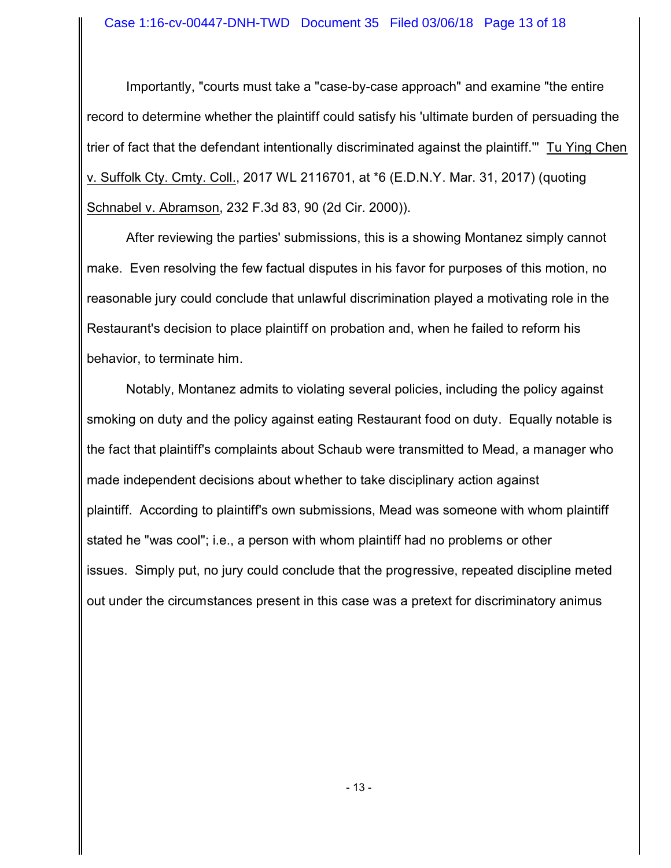#### Case 1:16-cv-00447-DNH-TWD Document 35 Filed 03/06/18 Page 13 of 18

Importantly, "courts must take a "case-by-case approach" and examine "the entire record to determine whether the plaintiff could satisfy his 'ultimate burden of persuading the trier of fact that the defendant intentionally discriminated against the plaintiff.'" Tu Ying Chen v. Suffolk Cty. Cmty. Coll., 2017 WL 2116701, at \*6 (E.D.N.Y. Mar. 31, 2017) (quoting Schnabel v. Abramson, 232 F.3d 83, 90 (2d Cir. 2000)).

After reviewing the parties' submissions, this is a showing Montanez simply cannot make. Even resolving the few factual disputes in his favor for purposes of this motion, no reasonable jury could conclude that unlawful discrimination played a motivating role in the Restaurant's decision to place plaintiff on probation and, when he failed to reform his behavior, to terminate him.

Notably, Montanez admits to violating several policies, including the policy against smoking on duty and the policy against eating Restaurant food on duty. Equally notable is the fact that plaintiff's complaints about Schaub were transmitted to Mead, a manager who made independent decisions about whether to take disciplinary action against plaintiff. According to plaintiff's own submissions, Mead was someone with whom plaintiff stated he "was cool"; i.e., a person with whom plaintiff had no problems or other issues. Simply put, no jury could conclude that the progressive, repeated discipline meted out under the circumstances present in this case was a pretext for discriminatory animus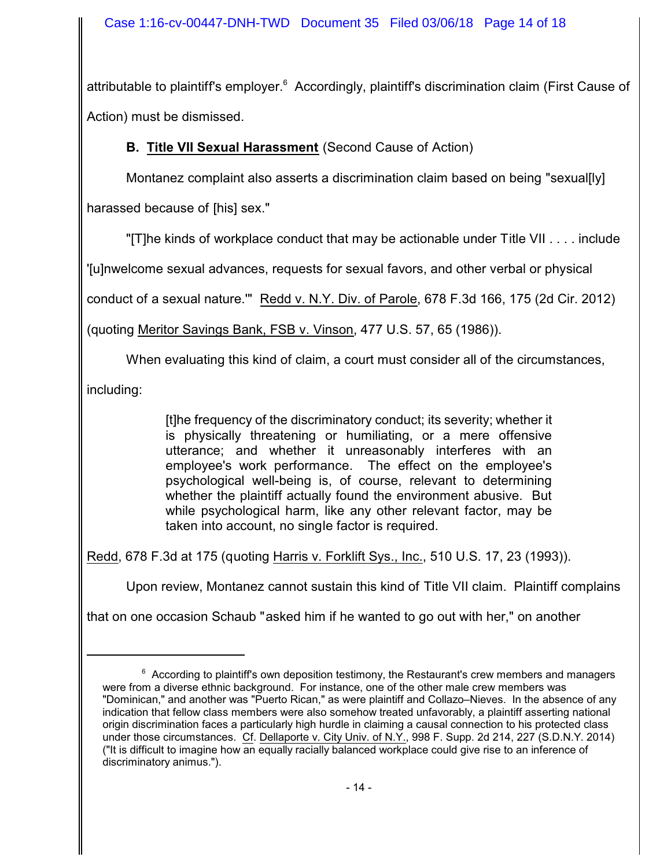attributable to plaintiff's employer.<sup>6</sup> Accordingly, plaintiff's discrimination claim (First Cause of Action) must be dismissed.

# **B. Title VII Sexual Harassment** (Second Cause of Action)

Montanez complaint also asserts a discrimination claim based on being "sexual[ly]

harassed because of [his] sex."

"[T]he kinds of workplace conduct that may be actionable under Title VII . . . . include

'[u]nwelcome sexual advances, requests for sexual favors, and other verbal or physical

conduct of a sexual nature.'" Redd v. N.Y. Div. of Parole, 678 F.3d 166, 175 (2d Cir. 2012)

(quoting Meritor Savings Bank, FSB v. Vinson, 477 U.S. 57, 65 (1986)).

When evaluating this kind of claim, a court must consider all of the circumstances,

including:

[t]he frequency of the discriminatory conduct; its severity; whether it is physically threatening or humiliating, or a mere offensive utterance; and whether it unreasonably interferes with an employee's work performance. The effect on the employee's psychological well-being is, of course, relevant to determining whether the plaintiff actually found the environment abusive. But while psychological harm, like any other relevant factor, may be taken into account, no single factor is required.

Redd, 678 F.3d at 175 (quoting Harris v. Forklift Sys., Inc., 510 U.S. 17, 23 (1993)).

Upon review, Montanez cannot sustain this kind of Title VII claim. Plaintiff complains

that on one occasion Schaub "asked him if he wanted to go out with her," on another

 $6$  According to plaintiff's own deposition testimony, the Restaurant's crew members and managers were from a diverse ethnic background. For instance, one of the other male crew members was "Dominican," and another was "Puerto Rican," as were plaintiff and Collazo–Nieves. In the absence of any indication that fellow class members were also somehow treated unfavorably, a plaintiff asserting national origin discrimination faces a particularly high hurdle in claiming a causal connection to his protected class under those circumstances. Cf. Dellaporte v. City Univ. of N.Y., 998 F. Supp. 2d 214, 227 (S.D.N.Y. 2014) ("It is difficult to imagine how an equally racially balanced workplace could give rise to an inference of discriminatory animus.").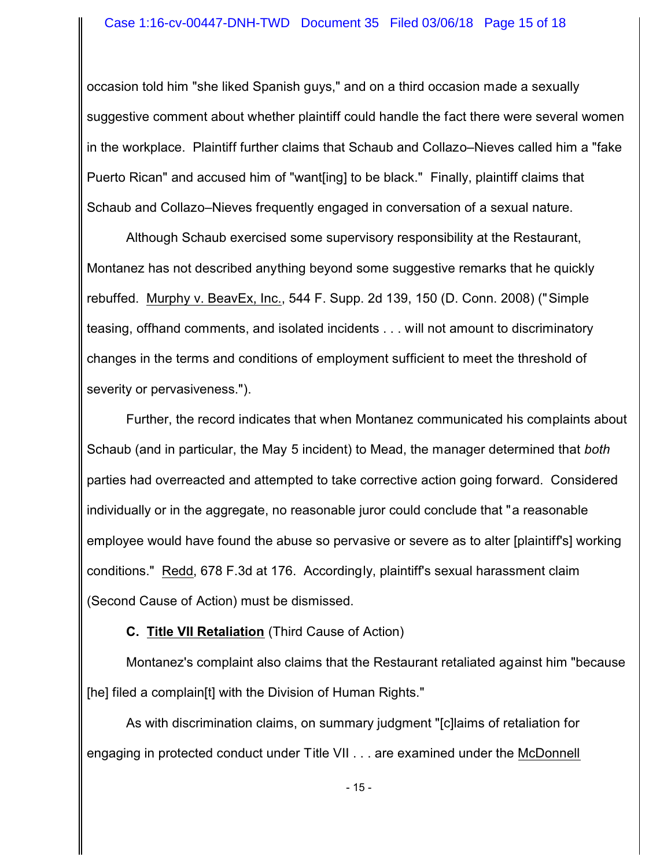occasion told him "she liked Spanish guys," and on a third occasion made a sexually suggestive comment about whether plaintiff could handle the fact there were several women in the workplace. Plaintiff further claims that Schaub and Collazo–Nieves called him a "fake Puerto Rican" and accused him of "want[ing] to be black." Finally, plaintiff claims that Schaub and Collazo–Nieves frequently engaged in conversation of a sexual nature.

Although Schaub exercised some supervisory responsibility at the Restaurant, Montanez has not described anything beyond some suggestive remarks that he quickly rebuffed. Murphy v. BeavEx, Inc., 544 F. Supp. 2d 139, 150 (D. Conn. 2008) ("Simple teasing, offhand comments, and isolated incidents . . . will not amount to discriminatory changes in the terms and conditions of employment sufficient to meet the threshold of severity or pervasiveness.").

Further, the record indicates that when Montanez communicated his complaints about Schaub (and in particular, the May 5 incident) to Mead, the manager determined that *both* parties had overreacted and attempted to take corrective action going forward. Considered individually or in the aggregate, no reasonable juror could conclude that "a reasonable employee would have found the abuse so pervasive or severe as to alter [plaintiff's] working conditions." Redd, 678 F.3d at 176. Accordingly, plaintiff's sexual harassment claim (Second Cause of Action) must be dismissed.

# **C. Title VII Retaliation** (Third Cause of Action)

Montanez's complaint also claims that the Restaurant retaliated against him "because [he] filed a complain[t] with the Division of Human Rights."

As with discrimination claims, on summary judgment "[c]laims of retaliation for engaging in protected conduct under Title VII . . . are examined under the McDonnell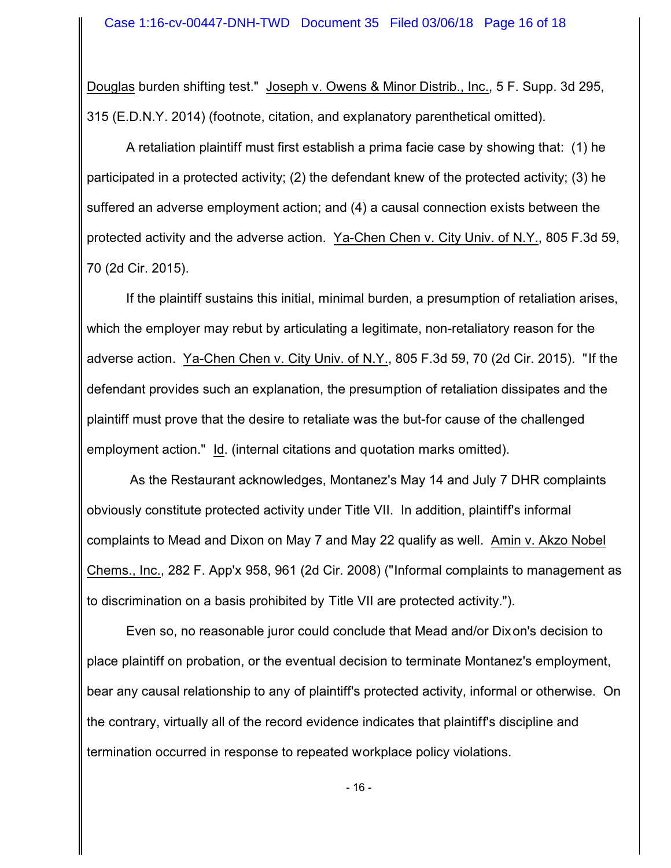Douglas burden shifting test." Joseph v. Owens & Minor Distrib., Inc., 5 F. Supp. 3d 295, 315 (E.D.N.Y. 2014) (footnote, citation, and explanatory parenthetical omitted).

A retaliation plaintiff must first establish a prima facie case by showing that: (1) he participated in a protected activity; (2) the defendant knew of the protected activity; (3) he suffered an adverse employment action; and (4) a causal connection exists between the protected activity and the adverse action. Ya-Chen Chen v. City Univ. of N.Y., 805 F.3d 59, 70 (2d Cir. 2015).

If the plaintiff sustains this initial, minimal burden, a presumption of retaliation arises, which the employer may rebut by articulating a legitimate, non-retaliatory reason for the adverse action. Ya-Chen Chen v. City Univ. of N.Y., 805 F.3d 59, 70 (2d Cir. 2015). "If the defendant provides such an explanation, the presumption of retaliation dissipates and the plaintiff must prove that the desire to retaliate was the but-for cause of the challenged employment action." Id. (internal citations and quotation marks omitted).

 As the Restaurant acknowledges, Montanez's May 14 and July 7 DHR complaints obviously constitute protected activity under Title VII. In addition, plaintiff's informal complaints to Mead and Dixon on May 7 and May 22 qualify as well. Amin v. Akzo Nobel Chems., Inc., 282 F. App'x 958, 961 (2d Cir. 2008) ("Informal complaints to management as to discrimination on a basis prohibited by Title VII are protected activity.").

Even so, no reasonable juror could conclude that Mead and/or Dixon's decision to place plaintiff on probation, or the eventual decision to terminate Montanez's employment, bear any causal relationship to any of plaintiff's protected activity, informal or otherwise. On the contrary, virtually all of the record evidence indicates that plaintiff's discipline and termination occurred in response to repeated workplace policy violations.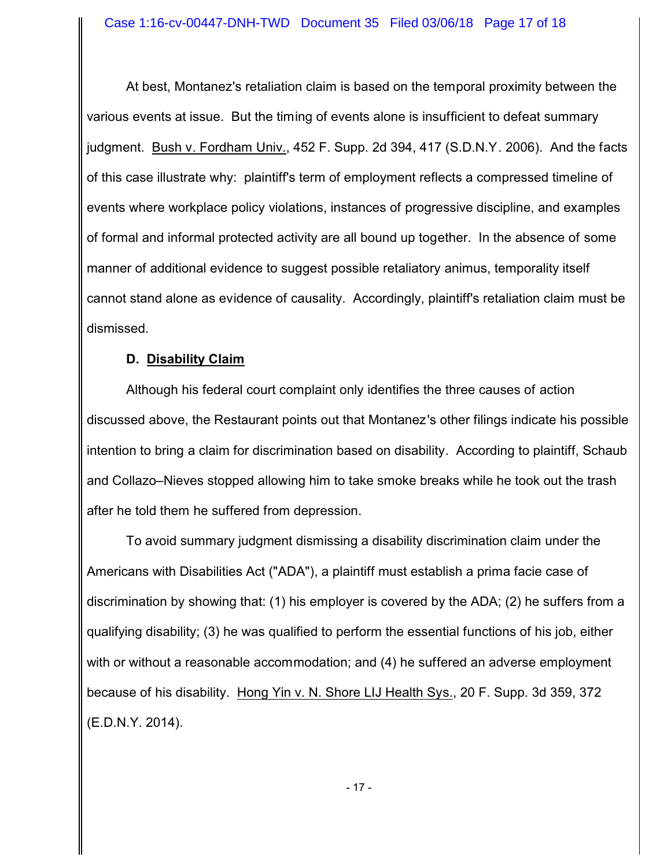At best, Montanez's retaliation claim is based on the temporal proximity between the various events at issue. But the timing of events alone is insufficient to defeat summary judgment. Bush v. Fordham Univ., 452 F. Supp. 2d 394, 417 (S.D.N.Y. 2006). And the facts of this case illustrate why: plaintiff's term of employment reflects a compressed timeline of events where workplace policy violations, instances of progressive discipline, and examples of formal and informal protected activity are all bound up together. In the absence of some manner of additional evidence to suggest possible retaliatory animus, temporality itself cannot stand alone as evidence of causality. Accordingly, plaintiff's retaliation claim must be dismissed.

# **D. Disability Claim**

Although his federal court complaint only identifies the three causes of action discussed above, the Restaurant points out that Montanez's other filings indicate his possible intention to bring a claim for discrimination based on disability. According to plaintiff, Schaub and Collazo–Nieves stopped allowing him to take smoke breaks while he took out the trash after he told them he suffered from depression.

To avoid summary judgment dismissing a disability discrimination claim under the Americans with Disabilities Act ("ADA"), a plaintiff must establish a prima facie case of discrimination by showing that: (1) his employer is covered by the ADA; (2) he suffers from a qualifying disability; (3) he was qualified to perform the essential functions of his job, either with or without a reasonable accommodation; and (4) he suffered an adverse employment because of his disability. Hong Yin v. N. Shore LIJ Health Sys., 20 F. Supp. 3d 359, 372 (E.D.N.Y. 2014).